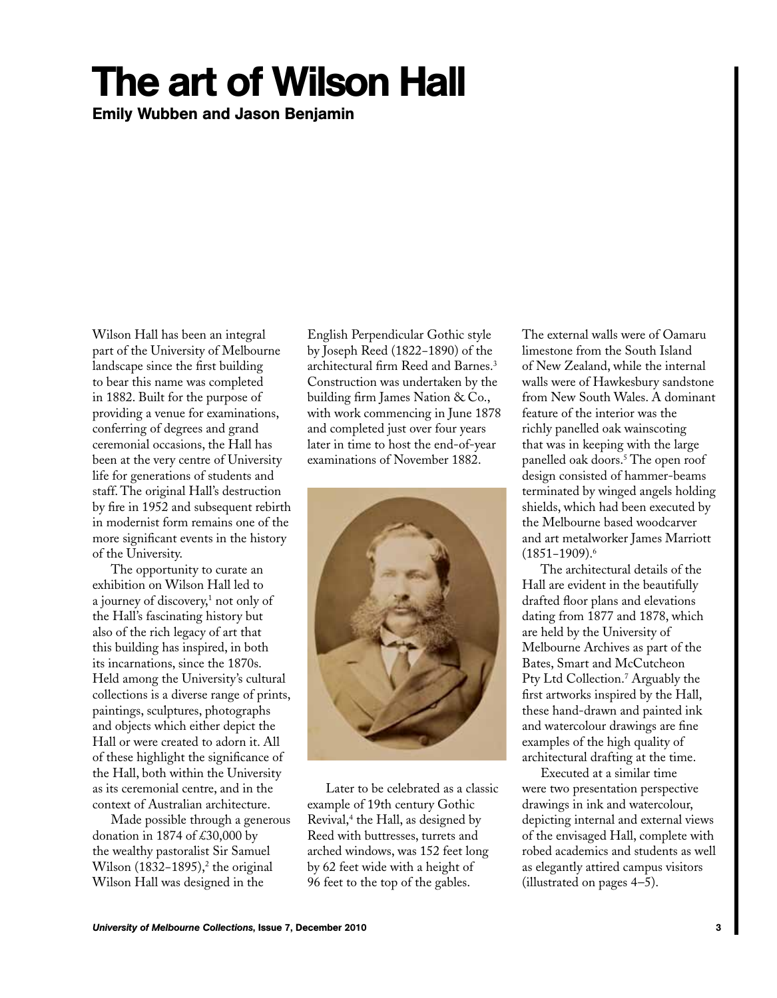## The art of Wilson Hall

Emily Wubben and Jason Benjamin

Wilson Hall has been an integral part of the University of Melbourne landscape since the first building to bear this name was completed in 1882. Built for the purpose of providing a venue for examinations, conferring of degrees and grand ceremonial occasions, the Hall has been at the very centre of University life for generations of students and staff. The original Hall's destruction by fire in 1952 and subsequent rebirth in modernist form remains one of the more significant events in the history of the University.

The opportunity to curate an exhibition on Wilson Hall led to a journey of discovery,<sup>1</sup> not only of the Hall's fascinating history but also of the rich legacy of art that this building has inspired, in both its incarnations, since the 1870s. Held among the University's cultural collections is a diverse range of prints, paintings, sculptures, photographs and objects which either depict the Hall or were created to adorn it. All of these highlight the significance of the Hall, both within the University as its ceremonial centre, and in the context of Australian architecture.

Made possible through a generous donation in 1874 of £30,000 by the wealthy pastoralist Sir Samuel Wilson (1832–1895),<sup>2</sup> the original Wilson Hall was designed in the

English Perpendicular Gothic style by Joseph Reed (1822−1890) of the architectural firm Reed and Barnes.3 Construction was undertaken by the building firm James Nation & Co., with work commencing in June 1878 and completed just over four years later in time to host the end-of-year examinations of November 1882.



Later to be celebrated as a classic example of 19th century Gothic Revival,<sup>4</sup> the Hall, as designed by Reed with buttresses, turrets and arched windows, was 152 feet long by 62 feet wide with a height of 96 feet to the top of the gables.

The external walls were of Oamaru limestone from the South Island of New Zealand, while the internal walls were of Hawkesbury sandstone from New South Wales. A dominant feature of the interior was the richly panelled oak wainscoting that was in keeping with the large panelled oak doors.<sup>5</sup> The open roof design consisted of hammer-beams terminated by winged angels holding shields, which had been executed by the Melbourne based woodcarver and art metalworker James Marriott (1851−1909).6

The architectural details of the Hall are evident in the beautifully drafted floor plans and elevations dating from 1877 and 1878, which are held by the University of Melbourne Archives as part of the Bates, Smart and McCutcheon Pty Ltd Collection.<sup>7</sup> Arguably the first artworks inspired by the Hall, these hand-drawn and painted ink and watercolour drawings are fine examples of the high quality of architectural drafting at the time.

Executed at a similar time were two presentation perspective drawings in ink and watercolour, depicting internal and external views of the envisaged Hall, complete with robed academics and students as well as elegantly attired campus visitors (illustrated on pages 4–5).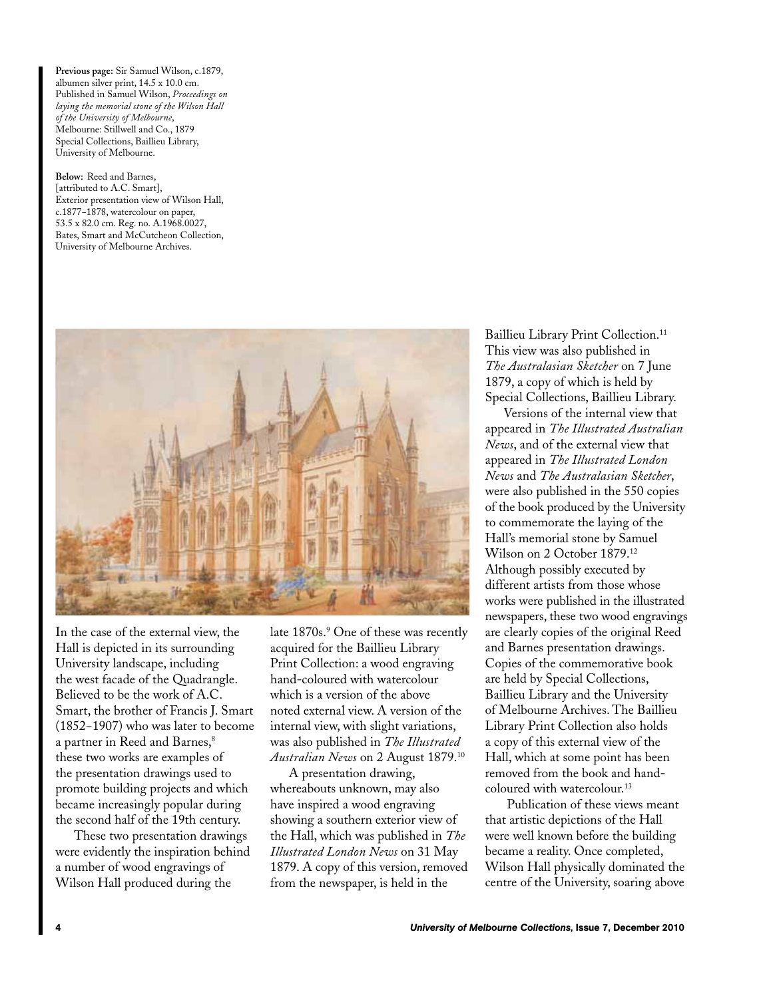**Previous page:** Sir Samuel Wilson, c.1879, albumen silver print, 14.5 x 10.0 cm. Published in Samuel Wilson, *Proceedings on laying the memorial stone of the Wilson Hall of the University of Melbourne*, Melbourne: Stillwell and Co., 1879 Special Collections, Baillieu Library, University of Melbourne.

**Below:** Reed and Barnes, [attributed to A.C. Smart], Exterior presentation view of Wilson Hall, c.1877−1878, watercolour on paper, 53.5 x 82.0 cm. Reg. no. A.1968.0027, Bates, Smart and McCutcheon Collection, University of Melbourne Archives.



In the case of the external view, the Hall is depicted in its surrounding University landscape, including the west facade of the Quadrangle. Believed to be the work of A.C. Smart, the brother of Francis J. Smart (1852−1907) who was later to become a partner in Reed and Barnes,<sup>8</sup> these two works are examples of the presentation drawings used to promote building projects and which became increasingly popular during the second half of the 19th century.

These two presentation drawings were evidently the inspiration behind a number of wood engravings of Wilson Hall produced during the

late 1870s.<sup>9</sup> One of these was recently acquired for the Baillieu Library Print Collection: a wood engraving hand-coloured with watercolour which is a version of the above noted external view. A version of the internal view, with slight variations, was also published in *The Illustrated Australian News* on 2 August 1879.10

A presentation drawing, whereabouts unknown, may also have inspired a wood engraving showing a southern exterior view of the Hall, which was published in *The Illustrated London News* on 31 May 1879. A copy of this version, removed from the newspaper, is held in the

Baillieu Library Print Collection.<sup>11</sup> This view was also published in *The Australasian Sketcher* on 7 June 1879, a copy of which is held by Special Collections, Baillieu Library.

Versions of the internal view that appeared in *The Illustrated Australian News*, and of the external view that appeared in *The Illustrated London News* and *The Australasian Sketcher*, were also published in the 550 copies of the book produced by the University to commemorate the laying of the Hall's memorial stone by Samuel Wilson on 2 October 1879.12 Although possibly executed by different artists from those whose works were published in the illustrated newspapers, these two wood engravings are clearly copies of the original Reed and Barnes presentation drawings. Copies of the commemorative book are held by Special Collections, Baillieu Library and the University of Melbourne Archives. The Baillieu Library Print Collection also holds a copy of this external view of the Hall, which at some point has been removed from the book and handcoloured with watercolour.13

 Publication of these views meant that artistic depictions of the Hall were well known before the building became a reality. Once completed, Wilson Hall physically dominated the centre of the University, soaring above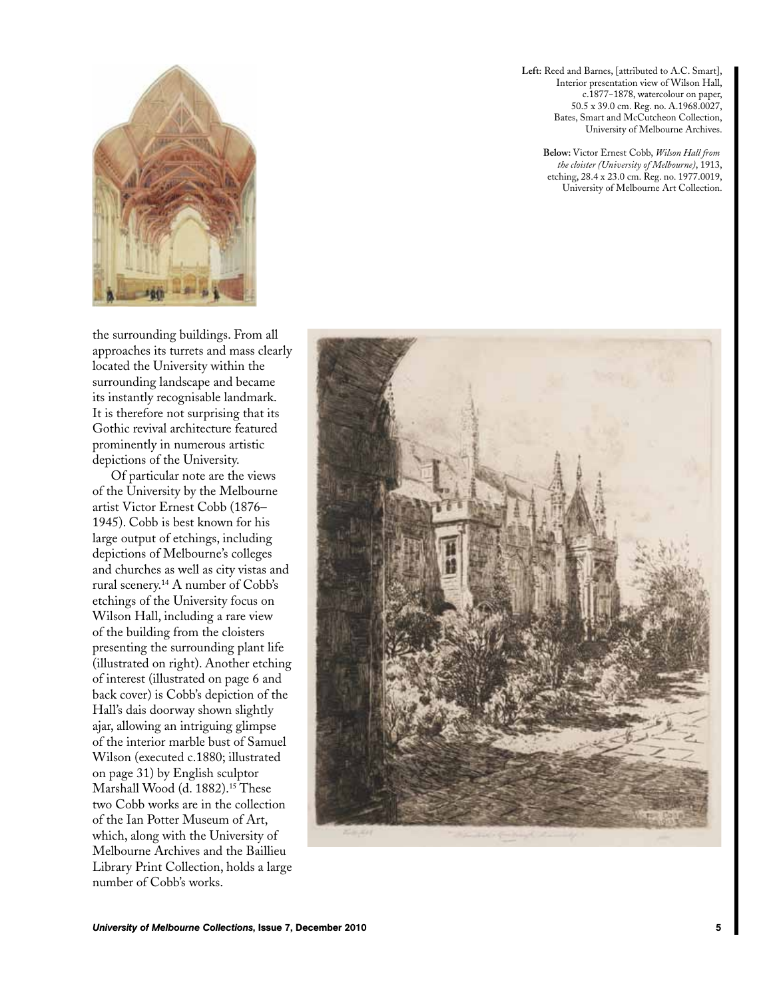

the surrounding buildings. From all approaches its turrets and mass clearly located the University within the surrounding landscape and became its instantly recognisable landmark. It is therefore not surprising that its Gothic revival architecture featured prominently in numerous artistic depictions of the University.

Of particular note are the views of the University by the Melbourne artist Victor Ernest Cobb (1876– 1945). Cobb is best known for his large output of etchings, including depictions of Melbourne's colleges and churches as well as city vistas and rural scenery.14 A number of Cobb's etchings of the University focus on Wilson Hall, including a rare view of the building from the cloisters presenting the surrounding plant life (illustrated on right). Another etching of interest (illustrated on page 6 and back cover) is Cobb's depiction of the Hall's dais doorway shown slightly ajar, allowing an intriguing glimpse of the interior marble bust of Samuel Wilson (executed c.1880; illustrated on page 31) by English sculptor Marshall Wood (d. 1882).<sup>15</sup> These two Cobb works are in the collection of the Ian Potter Museum of Art, which, along with the University of Melbourne Archives and the Baillieu Library Print Collection, holds a large number of Cobb's works.

**Left:** Reed and Barnes, [attributed to A.C. Smart], Interior presentation view of Wilson Hall, c.1877−1878, watercolour on paper, 50.5 x 39.0 cm. Reg. no. A.1968.0027, Bates, Smart and McCutcheon Collection, University of Melbourne Archives.

> **Below:** Victor Ernest Cobb, *Wilson Hall from the cloister (University of Melbourne)*, 1913, etching, 28.4 x 23.0 cm. Reg. no. 1977.0019, University of Melbourne Art Collection.

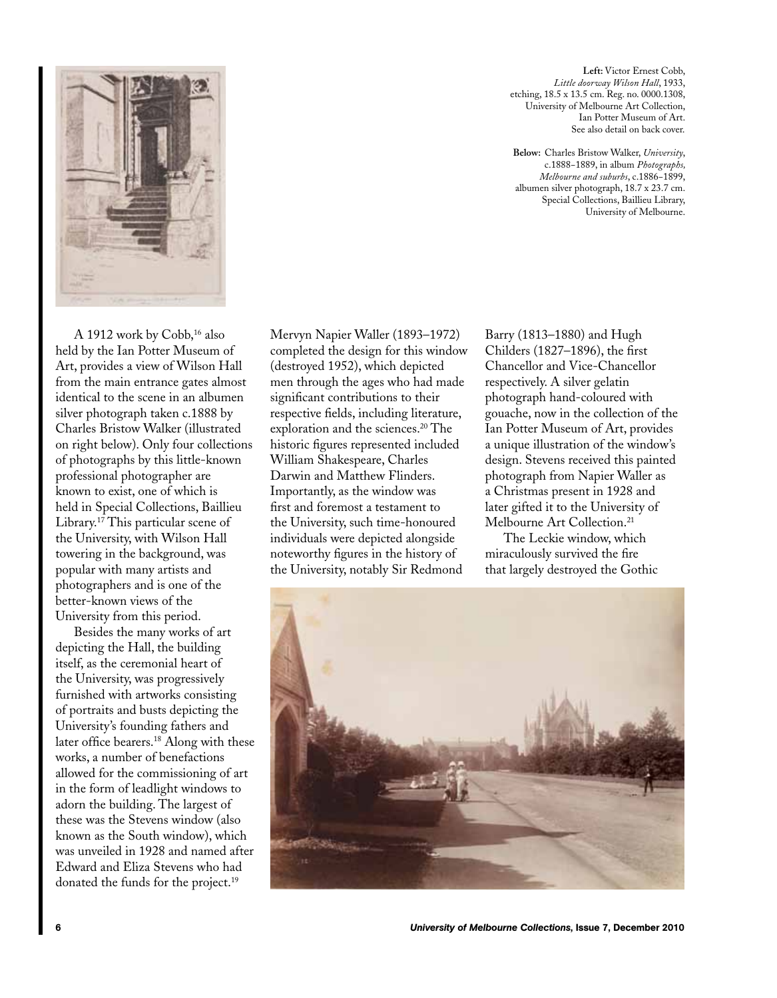

A 1912 work by Cobb,<sup>16</sup> also held by the Ian Potter Museum of Art, provides a view of Wilson Hall from the main entrance gates almost identical to the scene in an albumen silver photograph taken c.1888 by Charles Bristow Walker (illustrated on right below). Only four collections of photographs by this little-known professional photographer are known to exist, one of which is held in Special Collections, Baillieu Library.17 This particular scene of the University, with Wilson Hall towering in the background, was popular with many artists and photographers and is one of the better-known views of the University from this period.

Besides the many works of art depicting the Hall, the building itself, as the ceremonial heart of the University, was progressively furnished with artworks consisting of portraits and busts depicting the University's founding fathers and later office bearers.<sup>18</sup> Along with these works, a number of benefactions allowed for the commissioning of art in the form of leadlight windows to adorn the building. The largest of these was the Stevens window (also known as the South window), which was unveiled in 1928 and named after Edward and Eliza Stevens who had donated the funds for the project.<sup>19</sup>

Mervyn Napier Waller (1893–1972) completed the design for this window (destroyed 1952), which depicted men through the ages who had made significant contributions to their respective fields, including literature, exploration and the sciences.<sup>20</sup> The historic figures represented included William Shakespeare, Charles Darwin and Matthew Flinders. Importantly, as the window was first and foremost a testament to the University, such time-honoured individuals were depicted alongside noteworthy figures in the history of the University, notably Sir Redmond

**Left:** Victor Ernest Cobb, *Little doorway Wilson Hall*, 1933, etching, 18.5 x 13.5 cm. Reg. no. 0000.1308, University of Melbourne Art Collection, Ian Potter Museum of Art. See also detail on back cover.

**Below:** Charles Bristow Walker, *University*, c.1888−1889, in album *Photographs, Melbourne and suburbs*, c.1886−1899, albumen silver photograph, 18.7 x 23.7 cm. Special Collections, Baillieu Library, University of Melbourne.

Barry (1813–1880) and Hugh Childers (1827–1896), the first Chancellor and Vice-Chancellor respectively. A silver gelatin photograph hand-coloured with gouache, now in the collection of the Ian Potter Museum of Art, provides a unique illustration of the window's design. Stevens received this painted photograph from Napier Waller as a Christmas present in 1928 and later gifted it to the University of Melbourne Art Collection.<sup>21</sup>

The Leckie window, which miraculously survived the fire that largely destroyed the Gothic

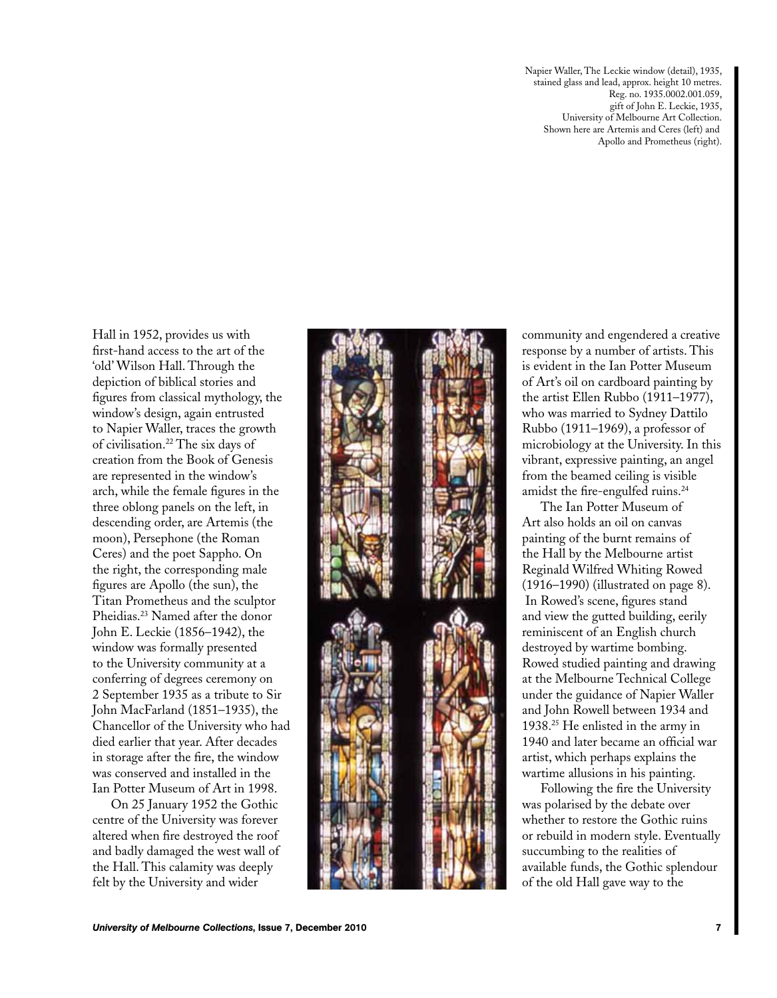Napier Waller, The Leckie window (detail), 1935, stained glass and lead, approx. height 10 metres. Reg. no. 1935.0002.001.059, gift of John E. Leckie, 1935, University of Melbourne Art Collection. Shown here are Artemis and Ceres (left) and Apollo and Prometheus (right).

Hall in 1952, provides us with first-hand access to the art of the 'old' Wilson Hall. Through the depiction of biblical stories and figures from classical mythology, the window's design, again entrusted to Napier Waller, traces the growth of civilisation.22 The six days of creation from the Book of Genesis are represented in the window's arch, while the female figures in the three oblong panels on the left, in descending order, are Artemis (the moon), Persephone (the Roman Ceres) and the poet Sappho. On the right, the corresponding male figures are Apollo (the sun), the Titan Prometheus and the sculptor Pheidias.23 Named after the donor John E. Leckie (1856–1942), the window was formally presented to the University community at a conferring of degrees ceremony on 2 September 1935 as a tribute to Sir John MacFarland (1851–1935), the Chancellor of the University who had died earlier that year. After decades in storage after the fire, the window was conserved and installed in the Ian Potter Museum of Art in 1998.

On 25 January 1952 the Gothic centre of the University was forever altered when fire destroyed the roof and badly damaged the west wall of the Hall. This calamity was deeply felt by the University and wider



community and engendered a creative response by a number of artists. This is evident in the Ian Potter Museum of Art's oil on cardboard painting by the artist Ellen Rubbo (1911–1977), who was married to Sydney Dattilo Rubbo (1911–1969), a professor of microbiology at the University. In this vibrant, expressive painting, an angel from the beamed ceiling is visible amidst the fire-engulfed ruins.<sup>24</sup>

The Ian Potter Museum of Art also holds an oil on canvas painting of the burnt remains of the Hall by the Melbourne artist Reginald Wilfred Whiting Rowed (1916–1990) (illustrated on page 8). In Rowed's scene, figures stand and view the gutted building, eerily reminiscent of an English church destroyed by wartime bombing. Rowed studied painting and drawing at the Melbourne Technical College under the guidance of Napier Waller and John Rowell between 1934 and 1938.25 He enlisted in the army in 1940 and later became an official war artist, which perhaps explains the wartime allusions in his painting.

Following the fire the University was polarised by the debate over whether to restore the Gothic ruins or rebuild in modern style. Eventually succumbing to the realities of available funds, the Gothic splendour of the old Hall gave way to the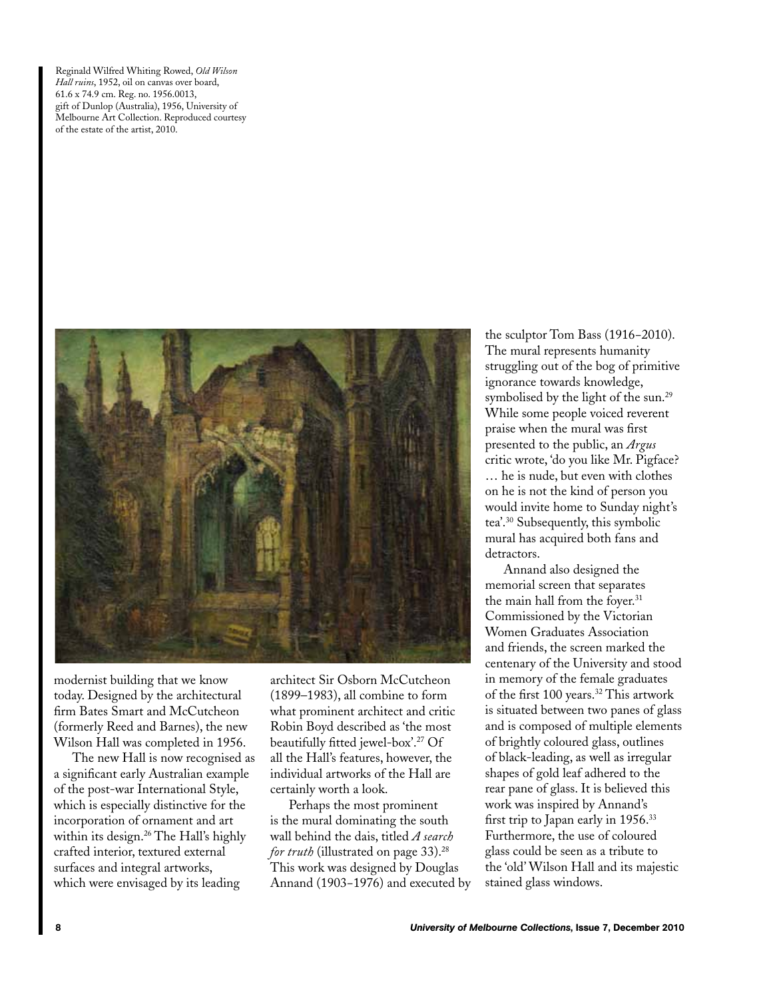Reginald Wilfred Whiting Rowed, *Old Wilson Hall ruins*, 1952, oil on canvas over board, 61.6 x 74.9 cm. Reg. no. 1956.0013, gift of Dunlop (Australia), 1956, University of Melbourne Art Collection. Reproduced courtesy of the estate of the artist, 2010.



modernist building that we know today. Designed by the architectural firm Bates Smart and McCutcheon (formerly Reed and Barnes), the new Wilson Hall was completed in 1956.

The new Hall is now recognised as a significant early Australian example of the post-war International Style, which is especially distinctive for the incorporation of ornament and art within its design.<sup>26</sup> The Hall's highly crafted interior, textured external surfaces and integral artworks, which were envisaged by its leading

architect Sir Osborn McCutcheon (1899–1983), all combine to form what prominent architect and critic Robin Boyd described as 'the most beautifully fitted jewel-box'.27 Of all the Hall's features, however, the individual artworks of the Hall are certainly worth a look.

Perhaps the most prominent is the mural dominating the south wall behind the dais, titled *A search for truth* (illustrated on page 33).<sup>28</sup> This work was designed by Douglas Annand (1903−1976) and executed by the sculptor Tom Bass (1916−2010). The mural represents humanity struggling out of the bog of primitive ignorance towards knowledge, symbolised by the light of the sun.<sup>29</sup> While some people voiced reverent praise when the mural was first presented to the public, an *Argus*  critic wrote, 'do you like Mr. Pigface? … he is nude, but even with clothes on he is not the kind of person you would invite home to Sunday night's tea'.30 Subsequently, this symbolic mural has acquired both fans and detractors.

Annand also designed the memorial screen that separates the main hall from the foyer.<sup>31</sup> Commissioned by the Victorian Women Graduates Association and friends, the screen marked the centenary of the University and stood in memory of the female graduates of the first 100 years.32 This artwork is situated between two panes of glass and is composed of multiple elements of brightly coloured glass, outlines of black-leading, as well as irregular shapes of gold leaf adhered to the rear pane of glass. It is believed this work was inspired by Annand's first trip to Japan early in 1956.<sup>33</sup> Furthermore, the use of coloured glass could be seen as a tribute to the 'old' Wilson Hall and its majestic stained glass windows.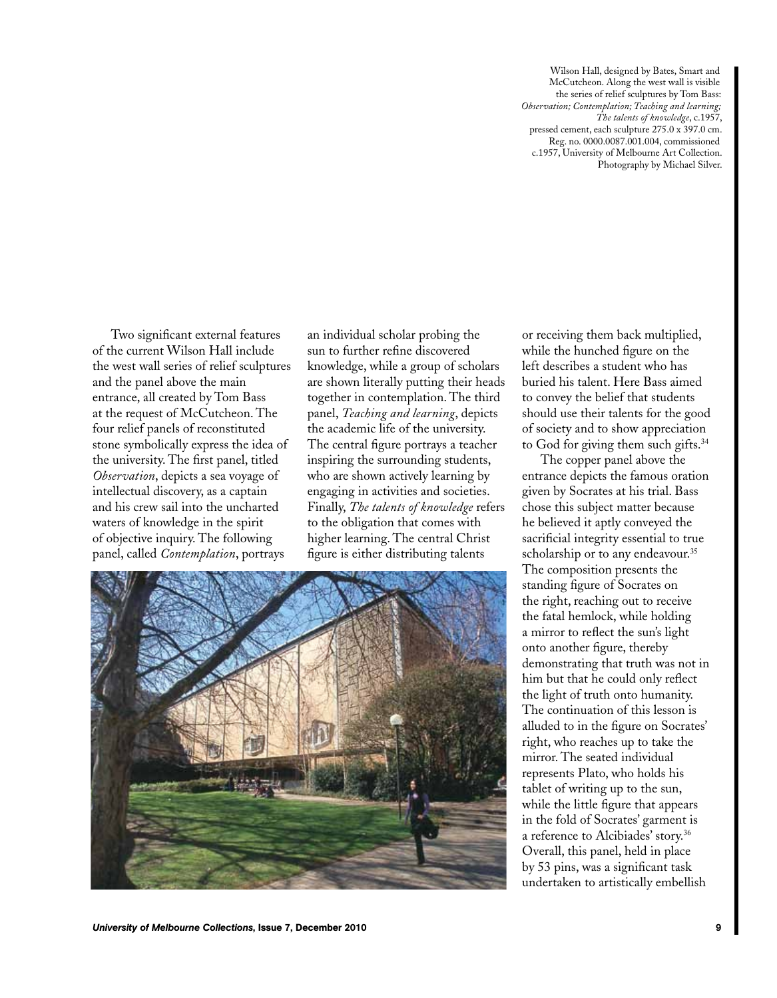Wilson Hall, designed by Bates, Smart and McCutcheon. Along the west wall is visible the series of relief sculptures by Tom Bass: *Observation; Contemplation; Teaching and learning; The talents of knowledge*, c.1957, pressed cement, each sculpture 275.0 x 397.0 cm. Reg. no. 0000.0087.001.004, commissioned c.1957, University of Melbourne Art Collection. Photography by Michael Silver.

Two significant external features of the current Wilson Hall include the west wall series of relief sculptures and the panel above the main entrance, all created by Tom Bass at the request of McCutcheon. The four relief panels of reconstituted stone symbolically express the idea of the university. The first panel, titled *Observation*, depicts a sea voyage of intellectual discovery, as a captain and his crew sail into the uncharted waters of knowledge in the spirit of objective inquiry. The following panel, called *Contemplation*, portrays

an individual scholar probing the sun to further refine discovered knowledge, while a group of scholars are shown literally putting their heads together in contemplation. The third panel, *Teaching and learning*, depicts the academic life of the university. The central figure portrays a teacher inspiring the surrounding students, who are shown actively learning by engaging in activities and societies. Finally, *The talents of knowledge* refers to the obligation that comes with higher learning. The central Christ figure is either distributing talents



or receiving them back multiplied, while the hunched figure on the left describes a student who has buried his talent. Here Bass aimed to convey the belief that students should use their talents for the good of society and to show appreciation to God for giving them such gifts.<sup>34</sup>

The copper panel above the entrance depicts the famous oration given by Socrates at his trial. Bass chose this subject matter because he believed it aptly conveyed the sacrificial integrity essential to true scholarship or to any endeavour.<sup>35</sup> The composition presents the standing figure of Socrates on the right, reaching out to receive the fatal hemlock, while holding a mirror to reflect the sun's light onto another figure, thereby demonstrating that truth was not in him but that he could only reflect the light of truth onto humanity. The continuation of this lesson is alluded to in the figure on Socrates' right, who reaches up to take the mirror. The seated individual represents Plato, who holds his tablet of writing up to the sun, while the little figure that appears in the fold of Socrates' garment is a reference to Alcibiades' story.<sup>36</sup> Overall, this panel, held in place by 53 pins, was a significant task undertaken to artistically embellish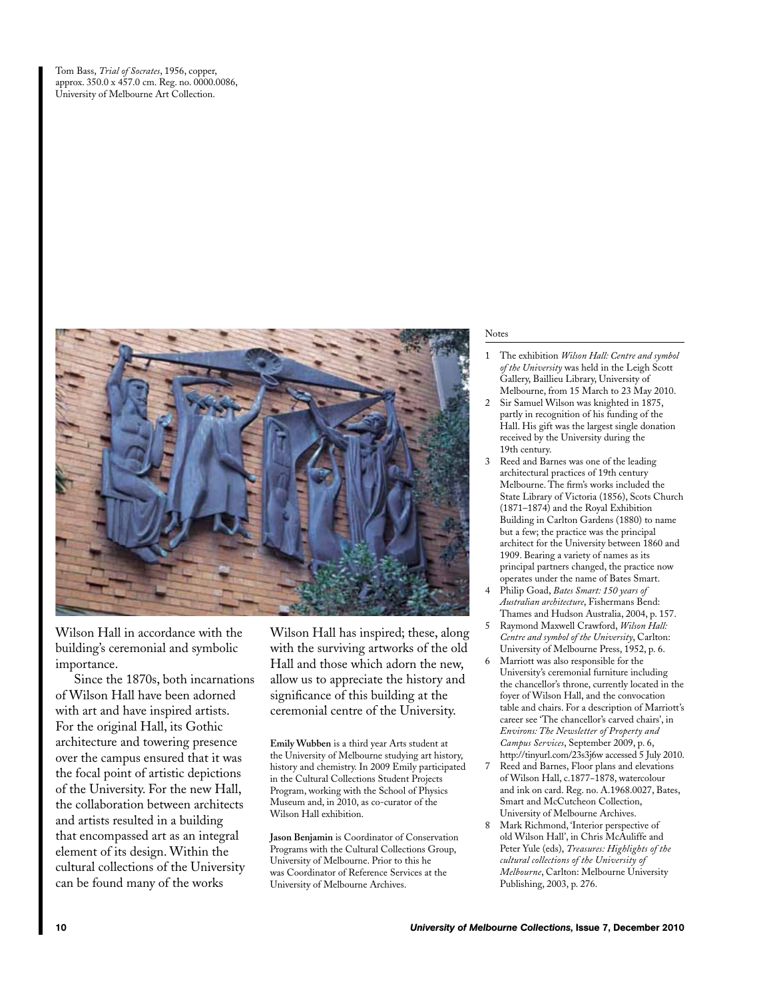Tom Bass, *Trial of Socrates*, 1956, copper, approx. 350.0 x 457.0 cm. Reg. no. 0000.0086, University of Melbourne Art Collection.



Wilson Hall in accordance with the building's ceremonial and symbolic importance.

Since the 1870s, both incarnations of Wilson Hall have been adorned with art and have inspired artists. For the original Hall, its Gothic architecture and towering presence over the campus ensured that it was the focal point of artistic depictions of the University. For the new Hall, the collaboration between architects and artists resulted in a building that encompassed art as an integral element of its design. Within the cultural collections of the University can be found many of the works

Wilson Hall has inspired; these, along with the surviving artworks of the old Hall and those which adorn the new, allow us to appreciate the history and significance of this building at the ceremonial centre of the University.

**Emily Wubben** is a third year Arts student at the University of Melbourne studying art history, history and chemistry. In 2009 Emily participated in the Cultural Collections Student Projects Program, working with the School of Physics Museum and, in 2010, as co-curator of the Wilson Hall exhibition.

**Jason Benjamin** is Coordinator of Conservation Programs with the Cultural Collections Group, University of Melbourne. Prior to this he was Coordinator of Reference Services at the University of Melbourne Archives.

## Notes

- 1 The exhibition *Wilson Hall: Centre and symbol of the University* was held in the Leigh Scott Gallery, Baillieu Library, University of Melbourne, from 15 March to 23 May 2010.
- 2 Sir Samuel Wilson was knighted in 1875, partly in recognition of his funding of the Hall. His gift was the largest single donation received by the University during the 19th century.
- 3 Reed and Barnes was one of the leading architectural practices of 19th century Melbourne. The firm's works included the State Library of Victoria (1856), Scots Church (1871–1874) and the Royal Exhibition Building in Carlton Gardens (1880) to name but a few; the practice was the principal architect for the University between 1860 and 1909. Bearing a variety of names as its principal partners changed, the practice now operates under the name of Bates Smart.
- 4 Philip Goad, *Bates Smart: 150 years of Australian architecture*, Fishermans Bend: Thames and Hudson Australia, 2004, p. 157.
- 5 Raymond Maxwell Crawford, *Wilson Hall: Centre and symbol of the University*, Carlton: University of Melbourne Press, 1952, p. 6.
- 6 Marriott was also responsible for the University's ceremonial furniture including the chancellor's throne, currently located in the foyer of Wilson Hall, and the convocation table and chairs. For a description of Marriott's career see 'The chancellor's carved chairs', in *Environs: The Newsletter of Property and Campus Services*, September 2009, p. 6, http://tinyurl.com/23s3j6w accessed 5 July 2010.
- 7 Reed and Barnes, Floor plans and elevations of Wilson Hall, c.1877−1878, watercolour and ink on card. Reg. no. A.1968.0027, Bates, Smart and McCutcheon Collection, University of Melbourne Archives.
- 8 Mark Richmond, 'Interior perspective of old Wilson Hall', in Chris McAuliffe and Peter Yule (eds), *Treasures: Highlights of the cultural collections of the University of Melbourne*, Carlton: Melbourne University Publishing, 2003, p. 276.